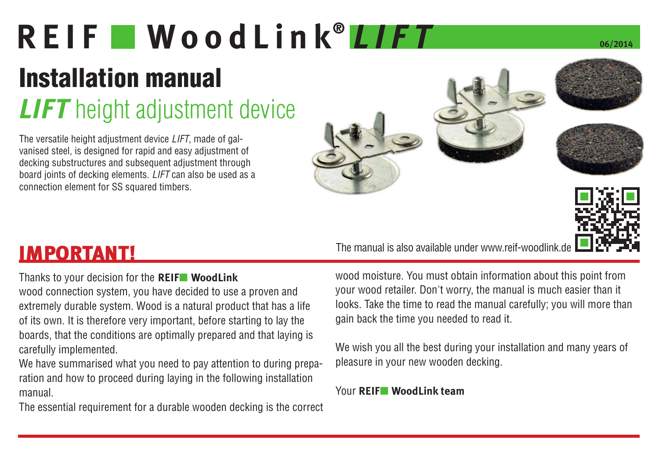# REIF WoodLink<sup>®</sup> LIFT

# Installation manual

### **LIFT** height adjustment device

The versatile height adjustment device *LIFT*, made of galvanised steel, is designed for rapid and easy adjustment of decking substructures and subsequent adjustment through board joints of decking elements. *LIFT* can also be used as a connection element for SS squared timbers.





IMPORTANT! The manual is also available under www.reif-woodlink.de

Thanks to your decision for the **REIF**■ **WoodLink**

wood connection system, you have decided to use a proven and extremely durable system. Wood is a natural product that has a life of its own. It is therefore very important, before starting to lay the boards, that the conditions are optimally prepared and that laying is carefully implemented.

We have summarised what you need to pay attention to during preparation and how to proceed during laying in the following installation manual.

The essential requirement for a durable wooden decking is the correct

wood moisture. You must obtain information about this point from your wood retailer. Don't worry, the manual is much easier than it looks. Take the time to read the manual carefully; you will more than gain back the time you needed to read it.

We wish you all the best during your installation and many years of pleasure in your new wooden decking.

Your **REIF**■ **WoodLink team**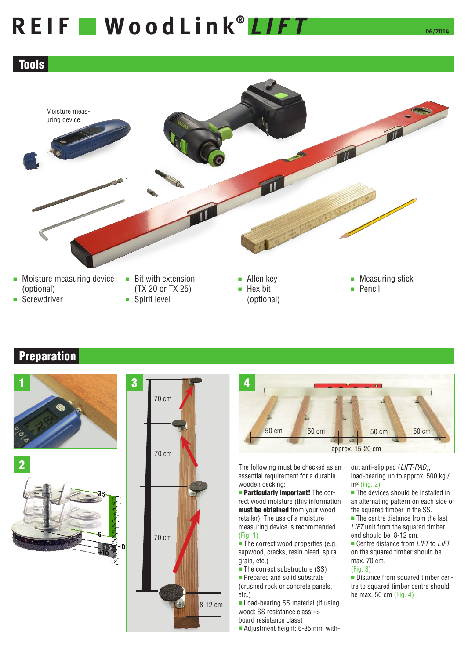# REIF WoodLink<sup>®</sup> LIFT

### Tools



# ■ Spirit level



### **Preparation**







#### The following must be checked as an essential requirement for a durable wooden decking:

**Particularly important!** The correct wood moisture (this information must be obtained from your wood retailer). The use of a moisture measuring device is recommended. (Fig. 1)

■ The correct wood properties (e.g. sapwood, cracks, resin bleed, spiral grain, etc.)

■ The correct substructure (SS) ■ Prepared and solid substrate

(crushed rock or concrete panels, etc.)

■ Load-bearing SS material (if using wood: SS resistance class => board resistance class)

■ Adjustment height: 6-35 mm with-

out anti-slip pad (*LIFT-PAD)*, load-bearing up to approx. 500 kg / m² (Fig. 2)

50 cm

approx. 15-20 cm

50 cm 50 cm 50 cm 50 cm

■ The devices should be installed in an alternating pattern on each side of the squared timber in the SS.

■ The centre distance from the last *LIFT* unit from the squared timber end should be 8-12 cm.

■ Centre distance from *LIFT* to *LIFT* on the squared timber should be max. 70 cm. (Fig. 3)

#### ■ Distance from squared timber centre to squared timber centre should be max. 50 cm (Fig. 4)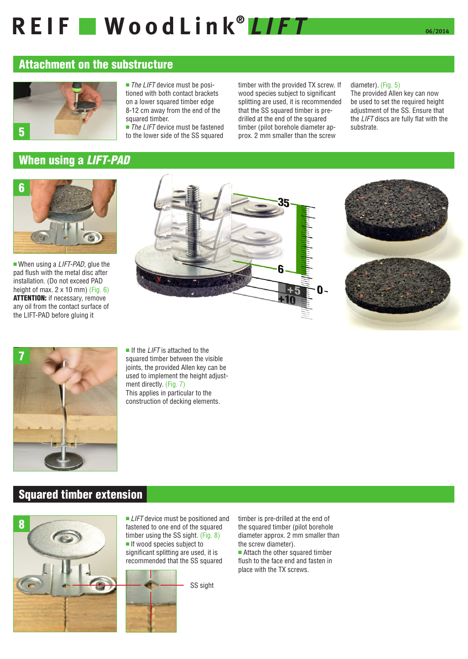# REIF WoodLink<sup>®</sup> LIFT

### Attachment on the substructure



■ *The LIFT* device must be positioned with both contact brackets on a lower squared timber edge 8-12 cm away from the end of the squared timber.

■ *The LIFT* device must be fastened to the lower side of the SS squared

timber with the provided TX screw. If wood species subject to significant splitting are used, it is recommended that the SS squared timber is predrilled at the end of the squared timber (pilot borehole diameter approx. 2 mm smaller than the screw

#### diameter). (Fig. 5)

The provided Allen key can now be used to set the required height adjustment of the SS. Ensure that the *LIFT* discs are fully flat with the substrate.



■ When using a *LIFT-PAD*, glue the pad flush with the metal disc after installation. (Do not exceed PAD height of max.  $2 \times 10$  mm) (Fig. 6) ATTENTION: if necessary, remove any oil from the contact surface of the LIFT-PAD before gluing it







■ If the *LIFT* is attached to the squared timber between the visible joints, the provided Allen key can be used to implement the height adjustment directly. (Fig. 7) This applies in particular to the construction of decking elements.

### Squared timber extension



■ *LIFT* device must be positioned and fastened to one end of the squared timber using the SS sight. (Fig. 8) ■ If wood species subject to significant splitting are used, it is

recommended that the SS squared



timber is pre-drilled at the end of the squared timber (pilot borehole diameter approx. 2 mm smaller than the screw diameter).

■ Attach the other squared timber flush to the face end and fasten in place with the TX screws.